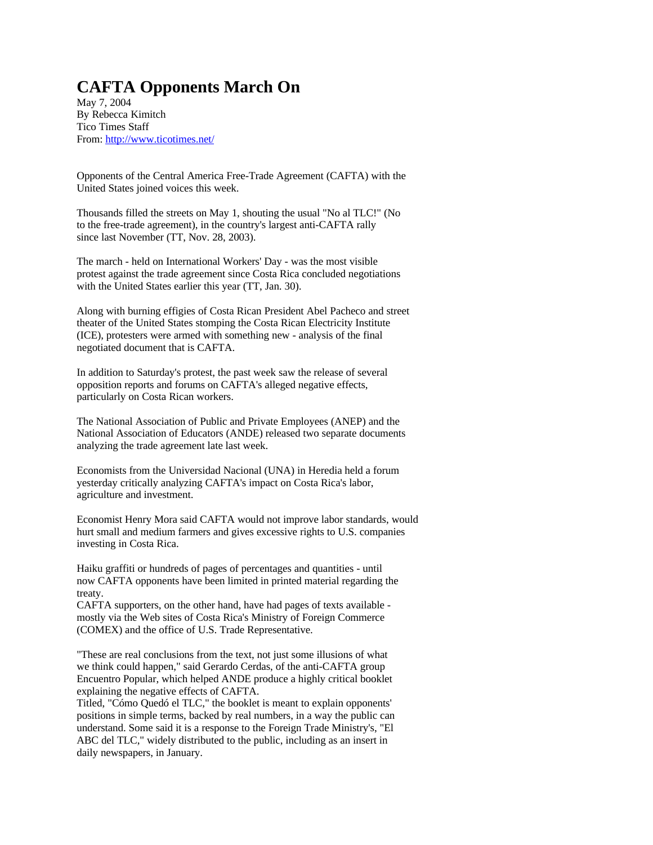## **CAFTA Opponents March On**

May 7, 2004 By Rebecca Kimitch Tico Times Staff From: http://www.ticotimes.net/

Opponents of the Central America Free-Trade Agreement (CAFTA) with the United States joined voices this week.

Thousands filled the streets on May 1, shouting the usual "No al TLC!" (No to the free-trade agreement), in the country's largest anti-CAFTA rally since last November (TT, Nov. 28, 2003).

The march - held on International Workers' Day - was the most visible protest against the trade agreement since Costa Rica concluded negotiations with the United States earlier this year (TT, Jan. 30).

Along with burning effigies of Costa Rican President Abel Pacheco and street theater of the United States stomping the Costa Rican Electricity Institute (ICE), protesters were armed with something new - analysis of the final negotiated document that is CAFTA.

In addition to Saturday's protest, the past week saw the release of several opposition reports and forums on CAFTA's alleged negative effects, particularly on Costa Rican workers.

The National Association of Public and Private Employees (ANEP) and the National Association of Educators (ANDE) released two separate documents analyzing the trade agreement late last week.

Economists from the Universidad Nacional (UNA) in Heredia held a forum yesterday critically analyzing CAFTA's impact on Costa Rica's labor, agriculture and investment.

Economist Henry Mora said CAFTA would not improve labor standards, would hurt small and medium farmers and gives excessive rights to U.S. companies investing in Costa Rica.

Haiku graffiti or hundreds of pages of percentages and quantities - until now CAFTA opponents have been limited in printed material regarding the treaty.

CAFTA supporters, on the other hand, have had pages of texts available mostly via the Web sites of Costa Rica's Ministry of Foreign Commerce (COMEX) and the office of U.S. Trade Representative.

"These are real conclusions from the text, not just some illusions of what we think could happen," said Gerardo Cerdas, of the anti-CAFTA group Encuentro Popular, which helped ANDE produce a highly critical booklet explaining the negative effects of CAFTA.

Titled, "Cómo Quedó el TLC," the booklet is meant to explain opponents' positions in simple terms, backed by real numbers, in a way the public can understand. Some said it is a response to the Foreign Trade Ministry's, "El ABC del TLC," widely distributed to the public, including as an insert in daily newspapers, in January.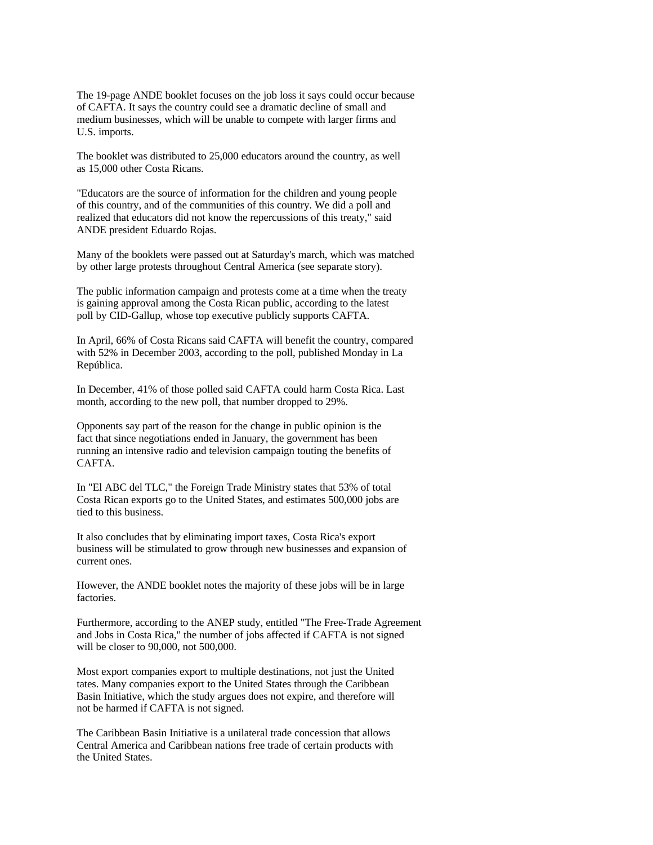The 19-page ANDE booklet focuses on the job loss it says could occur because of CAFTA. It says the country could see a dramatic decline of small and medium businesses, which will be unable to compete with larger firms and U.S. imports.

The booklet was distributed to 25,000 educators around the country, as well as 15,000 other Costa Ricans.

"Educators are the source of information for the children and young people of this country, and of the communities of this country. We did a poll and realized that educators did not know the repercussions of this treaty," said ANDE president Eduardo Rojas.

Many of the booklets were passed out at Saturday's march, which was matched by other large protests throughout Central America (see separate story).

The public information campaign and protests come at a time when the treaty is gaining approval among the Costa Rican public, according to the latest poll by CID-Gallup, whose top executive publicly supports CAFTA.

In April, 66% of Costa Ricans said CAFTA will benefit the country, compared with 52% in December 2003, according to the poll, published Monday in La República.

In December, 41% of those polled said CAFTA could harm Costa Rica. Last month, according to the new poll, that number dropped to 29%.

Opponents say part of the reason for the change in public opinion is the fact that since negotiations ended in January, the government has been running an intensive radio and television campaign touting the benefits of CAFTA.

In "El ABC del TLC," the Foreign Trade Ministry states that 53% of total Costa Rican exports go to the United States, and estimates 500,000 jobs are tied to this business.

It also concludes that by eliminating import taxes, Costa Rica's export business will be stimulated to grow through new businesses and expansion of current ones.

However, the ANDE booklet notes the majority of these jobs will be in large factories.

Furthermore, according to the ANEP study, entitled "The Free-Trade Agreement and Jobs in Costa Rica," the number of jobs affected if CAFTA is not signed will be closer to 90,000, not 500,000.

Most export companies export to multiple destinations, not just the United tates. Many companies export to the United States through the Caribbean Basin Initiative, which the study argues does not expire, and therefore will not be harmed if CAFTA is not signed.

The Caribbean Basin Initiative is a unilateral trade concession that allows Central America and Caribbean nations free trade of certain products with the United States.